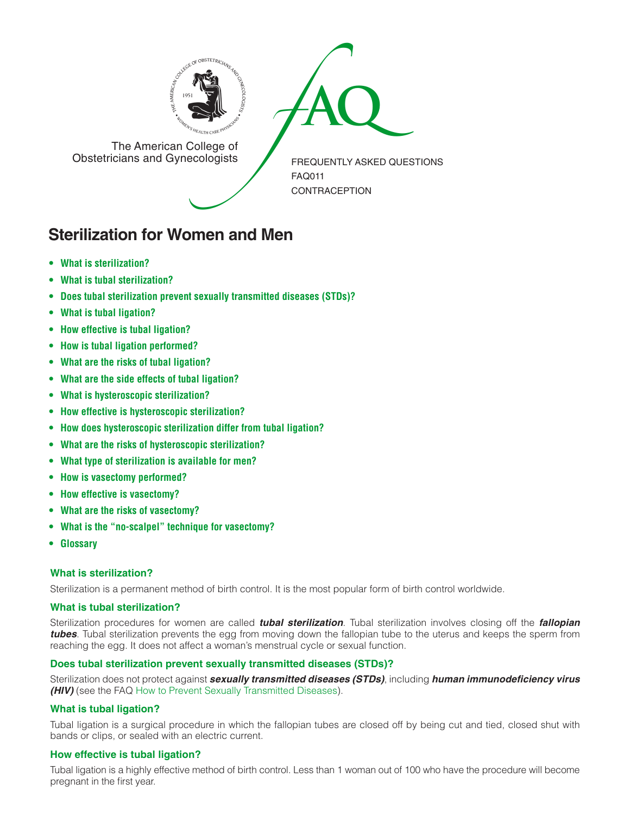



The American College of<br>Obstetricians and Gynecologists

FREQUENTLY ASKED QUESTIONS FAQ011 **CONTRACEPTION** 

# **Sterilization for Women and Men**

- **• What is [sterilization?](#page-0-0)**
- **• What is tubal [sterilization?](#page-0-1)**
- **• Does tubal [sterilization](#page-0-2) prevent sexually transmitted diseases (STDs)?**
- **• What is tubal [ligation?](#page-0-3)**
- **• How effective is tubal [ligation?](#page-0-4)**
- **• How is tubal ligation [performed?](#page-1-0)**
- **• What are the risks of tubal [ligation?](#page-1-1)**
- **• What are the side effects of tubal [ligation?](#page-1-2)**
- **• What is [hysteroscopic](#page-1-3) sterilization?**
- **• How effective is [hysteroscopic](#page-1-4) sterilization?**
- **• How does [hysteroscopic](#page-1-5) sterilization differ from tubal ligation?**
- **• What are the risks of [hysteroscopic](#page-1-6) sterilization?**
- **• What type of [sterilization](#page-1-7) is available for men?**
- **• How is vasectomy [performed?](#page-1-8)**
- **• How effective is [vasectomy?](#page-1-9)**
- **• What are the risks of [vasectomy?](#page-2-0)**
- **• What is the "no-scalpel" technique for vasectomy?**
- **[• Glossary](#page-2-1)**

# <span id="page-0-0"></span>**What is sterilization?**

Sterilization is a permanent method of birth control. It is the most popular form of birth control worldwide.

# <span id="page-0-1"></span>**What is tubal sterilization?**

Sterilization procedures for women are called *tubal sterilization*. Tubal sterilization involves closing off the *fallopian tubes*. Tubal sterilization prevents the egg from moving down the fallopian tube to the uterus and keeps the sperm from reaching the egg. It does not affect a woman's menstrual cycle or sexual function.

# <span id="page-0-2"></span>**Does tubal sterilization prevent sexually transmitted diseases (STDs)?**

Sterilization does not protect against *sexually transmitted diseases (STDs)*, including *human immunodeficiency virus (HIV)* (see the FAQ [How to Prevent Sexually Transmitted Diseases\)](http://www.acog.org/publications/faq/faq009.cfm).

# <span id="page-0-3"></span>**What is tubal ligation?**

Tubal ligation is a surgical procedure in which the fallopian tubes are closed off by being cut and tied, closed shut with bands or clips, or sealed with an electric current.

# <span id="page-0-4"></span>**How effective is tubal ligation?**

Tubal ligation is a highly effective method of birth control. Less than 1 woman out of 100 who have the procedure will become pregnant in the first year.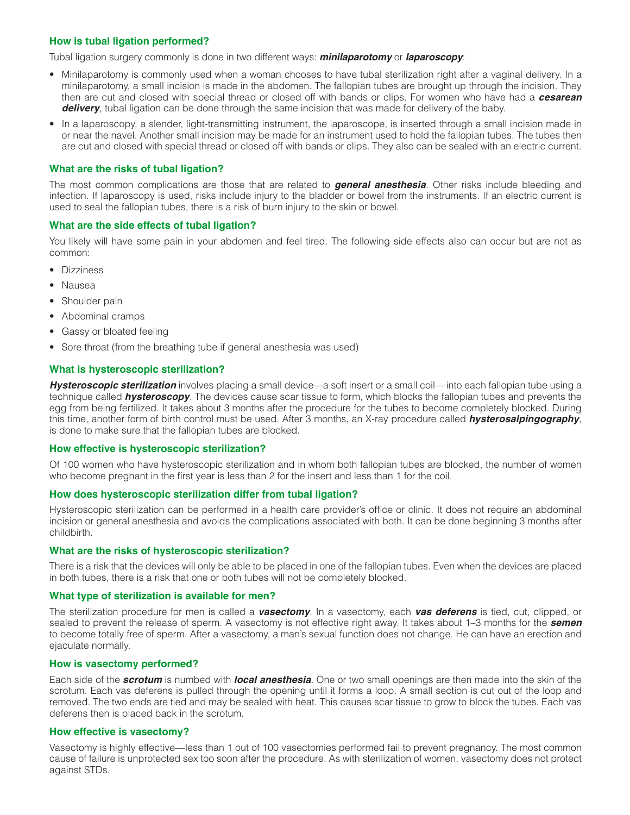# <span id="page-1-0"></span>**How is tubal ligation performed?**

Tubal ligation surgery commonly is done in two different ways: *minilaparotomy* or *laparoscopy*:

- Minilaparotomy is commonly used when a woman chooses to have tubal sterilization right after a vaginal delivery. In a minilaparotomy, a small incision is made in the abdomen. The fallopian tubes are brought up through the incision. They then are cut and closed with special thread or closed off with bands or clips. For women who have had a *cesarean delivery*, tubal ligation can be done through the same incision that was made for delivery of the baby.
- In a laparoscopy, a slender, light-transmitting instrument, the laparoscope, is inserted through a small incision made in or near the navel. Another small incision may be made for an instrument used to hold the fallopian tubes. The tubes then are cut and closed with special thread or closed off with bands or clips. They also can be sealed with an electric current.

# <span id="page-1-1"></span>**What are the risks of tubal ligation?**

The most common complications are those that are related to *general anesthesia*. Other risks include bleeding and infection. If laparoscopy is used, risks include injury to the bladder or bowel from the instruments. If an electric current is used to seal the fallopian tubes, there is a risk of burn injury to the skin or bowel.

### <span id="page-1-2"></span>**What are the side effects of tubal ligation?**

You likely will have some pain in your abdomen and feel tired. The following side effects also can occur but are not as common:

- Dizziness
- Nausea
- Shoulder pain
- Abdominal cramps
- Gassy or bloated feeling
- Sore throat (from the breathing tube if general anesthesia was used)

# <span id="page-1-3"></span>**What is hysteroscopic sterilization?**

**Hysteroscopic sterilization** involves placing a small device—a soft insert or a small coil—into each fallopian tube using a technique called *hysteroscopy*. The devices cause scar tissue to form, which blocks the fallopian tubes and prevents the egg from being fertilized. It takes about 3 months after the procedure for the tubes to become completely blocked. During this time, another form of birth control must be used. After 3 months, an X-ray procedure called *hysterosalpingography*, is done to make sure that the fallopian tubes are blocked.

#### <span id="page-1-4"></span>**How effective is hysteroscopic sterilization?**

Of 100 women who have hysteroscopic sterilization and in whom both fallopian tubes are blocked, the number of women who become pregnant in the first year is less than 2 for the insert and less than 1 for the coil.

# <span id="page-1-5"></span>**How does hysteroscopic sterilization differ from tubal ligation?**

Hysteroscopic sterilization can be performed in a health care provider's office or clinic. It does not require an abdominal incision or general anesthesia and avoids the complications associated with both. It can be done beginning 3 months after childbirth.

# <span id="page-1-6"></span>**What are the risks of hysteroscopic sterilization?**

There is a risk that the devices will only be able to be placed in one of the fallopian tubes. Even when the devices are placed in both tubes, there is a risk that one or both tubes will not be completely blocked.

# <span id="page-1-7"></span>**What type of sterilization is available for men?**

The sterilization procedure for men is called a *vasectomy*. In a vasectomy, each *vas deferens* is tied, cut, clipped, or sealed to prevent the release of sperm. A vasectomy is not effective right away. It takes about 1–3 months for the *semen* to become totally free of sperm. After a vasectomy, a man's sexual function does not change. He can have an erection and ejaculate normally.

#### <span id="page-1-8"></span>**How is vasectomy performed?**

Each side of the *scrotum* is numbed with *local anesthesia*. One or two small openings are then made into the skin of the scrotum. Each vas deferens is pulled through the opening until it forms a loop. A small section is cut out of the loop and removed. The two ends are tied and may be sealed with heat. This causes scar tissue to grow to block the tubes. Each vas deferens then is placed back in the scrotum.

# <span id="page-1-9"></span>**How effective is vasectomy?**

Vasectomy is highly effective—less than 1 out of 100 vasectomies performed fail to prevent pregnancy. The most common cause of failure is unprotected sex too soon after the procedure. As with sterilization of women, vasectomy does not protect against STDs.